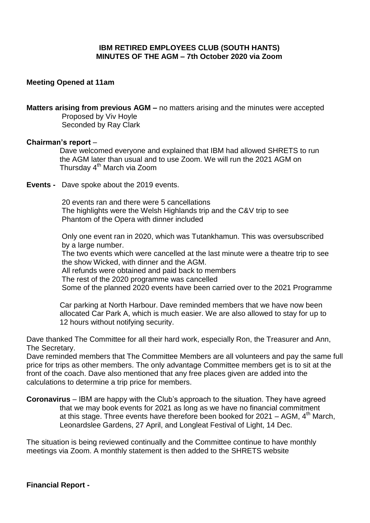## **IBM RETIRED EMPLOYEES CLUB (SOUTH HANTS) MINUTES OF THE AGM – 7th October 2020 via Zoom**

### **Meeting Opened at 11am**

**Matters arising from previous AGM –** no matters arising and the minutes were accepted Proposed by Viv Hoyle Seconded by Ray Clark

#### **Chairman's report** –

 Dave welcomed everyone and explained that IBM had allowed SHRETS to run the AGM later than usual and to use Zoom. We will run the 2021 AGM on Thursday 4<sup>th</sup> March via Zoom

**Events -** Dave spoke about the 2019 events.

 20 events ran and there were 5 cancellations The highlights were the Welsh Highlands trip and the C&V trip to see Phantom of the Opera with dinner included

 Only one event ran in 2020, which was Tutankhamun. This was oversubscribed by a large number.

 The two events which were cancelled at the last minute were a theatre trip to see the show Wicked, with dinner and the AGM.

All refunds were obtained and paid back to members

The rest of the 2020 programme was cancelled

Some of the planned 2020 events have been carried over to the 2021 Programme

 Car parking at North Harbour. Dave reminded members that we have now been allocated Car Park A, which is much easier. We are also allowed to stay for up to 12 hours without notifying security.

Dave thanked The Committee for all their hard work, especially Ron, the Treasurer and Ann, The Secretary.

Dave reminded members that The Committee Members are all volunteers and pay the same full price for trips as other members. The only advantage Committee members get is to sit at the front of the coach. Dave also mentioned that any free places given are added into the calculations to determine a trip price for members.

**Coronavirus** – IBM are happy with the Club's approach to the situation. They have agreed that we may book events for 2021 as long as we have no financial commitment at this stage. Three events have therefore been booked for  $2021 - AGM$ ,  $4<sup>th</sup>$  March, Leonardslee Gardens, 27 April, and Longleat Festival of Light, 14 Dec.

The situation is being reviewed continually and the Committee continue to have monthly meetings via Zoom. A monthly statement is then added to the SHRETS website